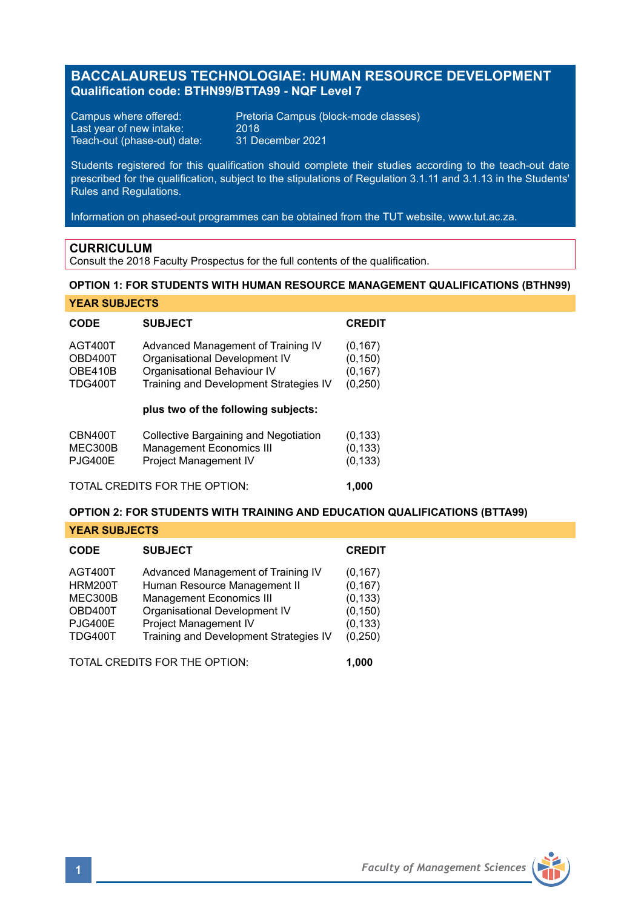# **BACCALAUREUS TECHNOLOGIAE: HUMAN RESOURCE DEVELOPMENT Qualification code: BTHN99/BTTA99 - NQF Level 7**

Last year of new intake: 2018<br>Teach-out (phase-out) date: 31 December 2021 Teach-out (phase-out) date:

Campus where offered: Pretoria Campus (block-mode classes)<br>Last year of new intake: 2018

Students registered for this qualification should complete their studies according to the teach-out date prescribed for the qualification, subject to the stipulations of Regulation 3.1.11 and 3.1.13 in the Students' Rules and Regulations.

Information on phased-out programmes can be obtained from the TUT website, www.tut.ac.za.

### **CURRICULUM**

Consult the 2018 Faculty Prospectus for the full contents of the qualification.

## **OPTION 1: FOR STUDENTS WITH HUMAN RESOURCE MANAGEMENT QUALIFICATIONS (BTHN99)**

|  |  |  | <b>YEAR SUBJECTS</b> |
|--|--|--|----------------------|
|--|--|--|----------------------|

| <b>CODE</b>                                     | <b>SUBJECT</b>                                                                                                                                                                      | <b>CREDIT</b>                                |
|-------------------------------------------------|-------------------------------------------------------------------------------------------------------------------------------------------------------------------------------------|----------------------------------------------|
| AGT400T<br>OBD400T<br>OBE410B<br><b>TDG400T</b> | Advanced Management of Training IV<br>Organisational Development IV<br>Organisational Behaviour IV<br>Training and Development Strategies IV<br>plus two of the following subjects: | (0, 167)<br>(0, 150)<br>(0, 167)<br>(0, 250) |
| CBN400T<br>MEC300B<br><b>PJG400E</b>            | Collective Bargaining and Negotiation<br><b>Management Economics III</b><br>Project Management IV                                                                                   | (0, 133)<br>(0, 133)<br>(0, 133)             |
| TOTAL CREDITS FOR THE OPTION:<br>1.000          |                                                                                                                                                                                     |                                              |

### **OPTION 2: FOR STUDENTS WITH TRAINING AND EDUCATION QUALIFICATIONS (BTTA99)**

**YEAR SUBJECTS**

| <b>CODE</b>                                                                         | <b>SUBJECT</b>                                                                                                                                                                                            | <b>CREDIT</b>                                                        |
|-------------------------------------------------------------------------------------|-----------------------------------------------------------------------------------------------------------------------------------------------------------------------------------------------------------|----------------------------------------------------------------------|
| AGT400T<br><b>HRM200T</b><br>MEC300B<br>OBD400T<br><b>PJG400E</b><br><b>TDG400T</b> | Advanced Management of Training IV<br>Human Resource Management II<br><b>Management Economics III</b><br>Organisational Development IV<br>Project Management IV<br>Training and Development Strategies IV | (0, 167)<br>(0, 167)<br>(0, 133)<br>(0, 150)<br>(0, 133)<br>(0, 250) |
|                                                                                     | TOTAL CREDITS FOR THE OPTION.                                                                                                                                                                             | 1.000                                                                |

**1** *Faculty of Management Sciences*

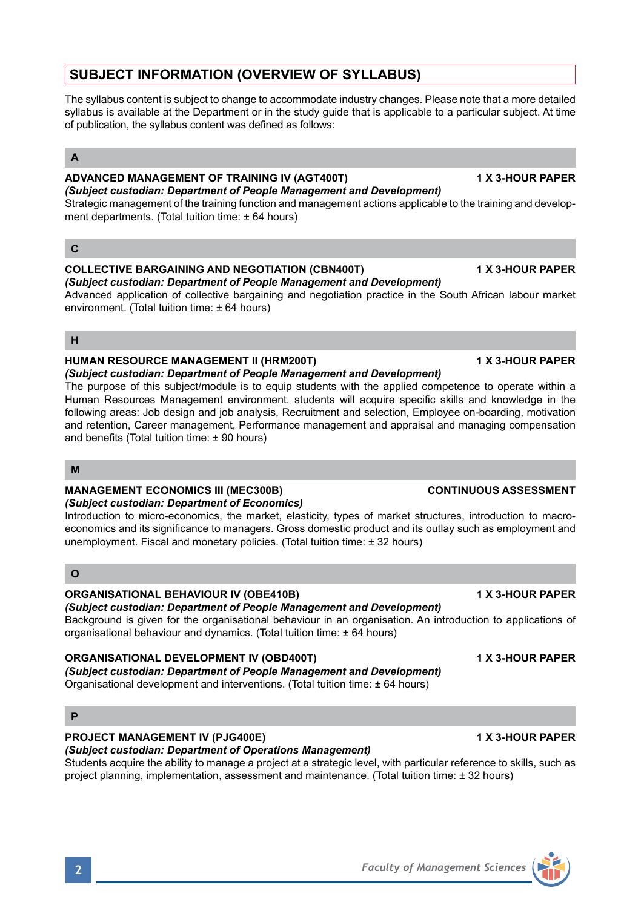# **SUBJECT INFORMATION (OVERVIEW OF SYLLABUS)**

The syllabus content is subject to change to accommodate industry changes. Please note that a more detailed syllabus is available at the Department or in the study guide that is applicable to a particular subject. At time of publication, the syllabus content was defined as follows:

# **A**

### **ADVANCED MANAGEMENT OF TRAINING IV (AGT400T) 1 X 3-HOUR PAPER** *(Subject custodian: Department of People Management and Development)*

Strategic management of the training function and management actions applicable to the training and development departments. (Total tuition time: ± 64 hours)

# **C**

# **COLLECTIVE BARGAINING AND NEGOTIATION (CBN400T) 1 X 3-HOUR PAPER**

*(Subject custodian: Department of People Management and Development)* Advanced application of collective bargaining and negotiation practice in the South African labour market environment. (Total tuition time: ± 64 hours)

## **H**

# **HUMAN RESOURCE MANAGEMENT II (HRM200T) 1 X 3-HOUR PAPER**

*(Subject custodian: Department of People Management and Development)* The purpose of this subject/module is to equip students with the applied competence to operate within a Human Resources Management environment. students will acquire specific skills and knowledge in the following areas: Job design and job analysis, Recruitment and selection, Employee on-boarding, motivation and retention, Career management, Performance management and appraisal and managing compensation and benefits (Total tuition time: ± 90 hours)

### **M**

# **MANAGEMENT ECONOMICS III (MEC300B) CONTINUOUS ASSESSMENT**

### *(Subject custodian: Department of Economics)*

Introduction to micro-economics, the market, elasticity, types of market structures, introduction to macroeconomics and its significance to managers. Gross domestic product and its outlay such as employment and unemployment. Fiscal and monetary policies. (Total tuition time: ± 32 hours)

# **O**

# **ORGANISATIONAL BEHAVIOUR IV (OBE410B) 1 X 3-HOUR PAPER**

## *(Subject custodian: Department of People Management and Development)*

Background is given for the organisational behaviour in an organisation. An introduction to applications of organisational behaviour and dynamics. (Total tuition time: ± 64 hours)

# **ORGANISATIONAL DEVELOPMENT IV (OBD400T) 1 X 3-HOUR PAPER**

*(Subject custodian: Department of People Management and Development)* Organisational development and interventions. (Total tuition time: ± 64 hours)

# **P**

# **PROJECT MANAGEMENT IV (PJG400E) 1 X 3-HOUR PAPER**

# *(Subject custodian: Department of Operations Management)*

Students acquire the ability to manage a project at a strategic level, with particular reference to skills, such as project planning, implementation, assessment and maintenance. (Total tuition time: ± 32 hours)